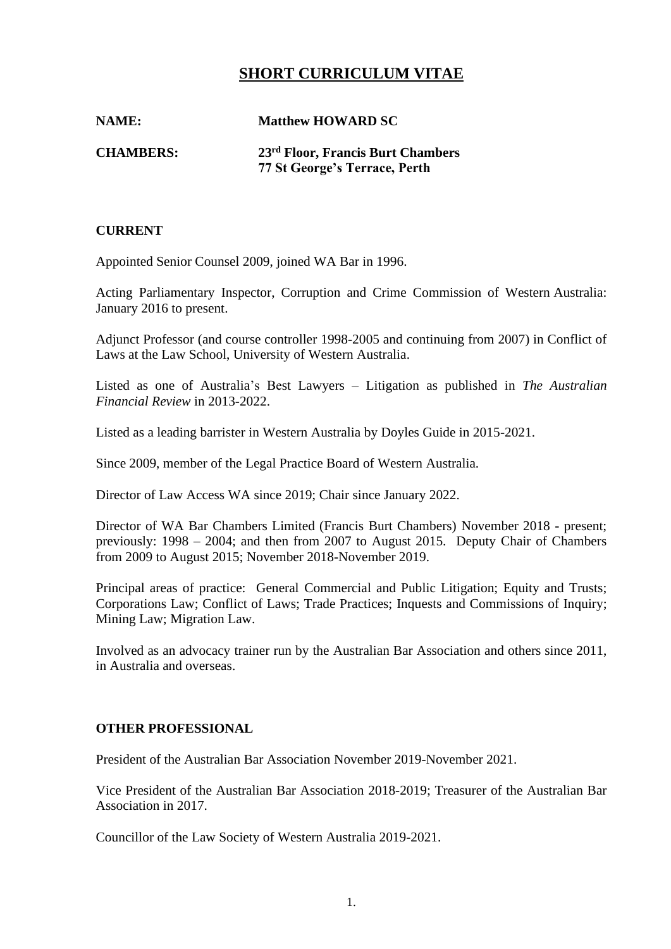# **SHORT CURRICULUM VITAE**

**NAME: Matthew HOWARD SC**

**CHAMBERS: 23rd Floor, Francis Burt Chambers 77 St George's Terrace, Perth**

## **CURRENT**

Appointed Senior Counsel 2009, joined WA Bar in 1996.

Acting Parliamentary Inspector, Corruption and Crime Commission of Western Australia: January 2016 to present.

Adjunct Professor (and course controller 1998-2005 and continuing from 2007) in Conflict of Laws at the Law School, University of Western Australia.

Listed as one of Australia's Best Lawyers – Litigation as published in *The Australian Financial Review* in 2013-2022.

Listed as a leading barrister in Western Australia by Doyles Guide in 2015-2021.

Since 2009, member of the Legal Practice Board of Western Australia.

Director of Law Access WA since 2019; Chair since January 2022.

Director of WA Bar Chambers Limited (Francis Burt Chambers) November 2018 - present; previously: 1998 – 2004; and then from 2007 to August 2015. Deputy Chair of Chambers from 2009 to August 2015; November 2018-November 2019.

Principal areas of practice: General Commercial and Public Litigation; Equity and Trusts; Corporations Law; Conflict of Laws; Trade Practices; Inquests and Commissions of Inquiry; Mining Law; Migration Law.

Involved as an advocacy trainer run by the Australian Bar Association and others since 2011, in Australia and overseas.

## **OTHER PROFESSIONAL**

President of the Australian Bar Association November 2019-November 2021.

Vice President of the Australian Bar Association 2018-2019; Treasurer of the Australian Bar Association in 2017.

Councillor of the Law Society of Western Australia 2019-2021.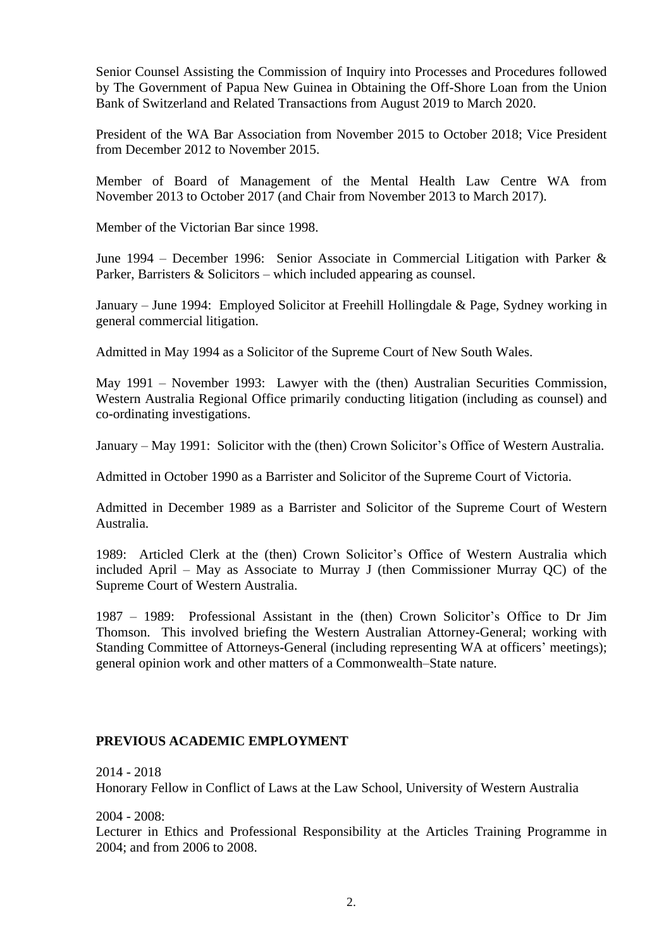Senior Counsel Assisting the Commission of Inquiry into Processes and Procedures followed by The Government of Papua New Guinea in Obtaining the Off-Shore Loan from the Union Bank of Switzerland and Related Transactions from August 2019 to March 2020.

President of the WA Bar Association from November 2015 to October 2018; Vice President from December 2012 to November 2015.

Member of Board of Management of the Mental Health Law Centre WA from November 2013 to October 2017 (and Chair from November 2013 to March 2017).

Member of the Victorian Bar since 1998.

June 1994 – December 1996: Senior Associate in Commercial Litigation with Parker & Parker, Barristers & Solicitors – which included appearing as counsel.

January – June 1994: Employed Solicitor at Freehill Hollingdale & Page, Sydney working in general commercial litigation.

Admitted in May 1994 as a Solicitor of the Supreme Court of New South Wales.

May 1991 – November 1993: Lawyer with the (then) Australian Securities Commission, Western Australia Regional Office primarily conducting litigation (including as counsel) and co-ordinating investigations.

January – May 1991: Solicitor with the (then) Crown Solicitor's Office of Western Australia.

Admitted in October 1990 as a Barrister and Solicitor of the Supreme Court of Victoria.

Admitted in December 1989 as a Barrister and Solicitor of the Supreme Court of Western Australia.

1989: Articled Clerk at the (then) Crown Solicitor's Office of Western Australia which included April – May as Associate to Murray J (then Commissioner Murray QC) of the Supreme Court of Western Australia.

1987 – 1989: Professional Assistant in the (then) Crown Solicitor's Office to Dr Jim Thomson. This involved briefing the Western Australian Attorney-General; working with Standing Committee of Attorneys-General (including representing WA at officers' meetings); general opinion work and other matters of a Commonwealth–State nature.

#### **PREVIOUS ACADEMIC EMPLOYMENT**

2014 - 2018 Honorary Fellow in Conflict of Laws at the Law School, University of Western Australia

2004 - 2008:

Lecturer in Ethics and Professional Responsibility at the Articles Training Programme in 2004; and from 2006 to 2008.